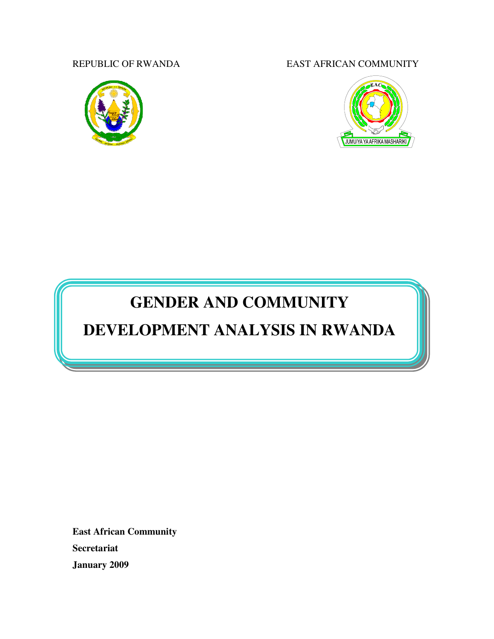

REPUBLIC OF RWANDA EAST AFRICAN COMMUNITY



# **GENDER AND COMMUNITY**

# **DEVELOPMENT ANALYSIS IN RWANDA**

**East African Community Secretariat January 2009**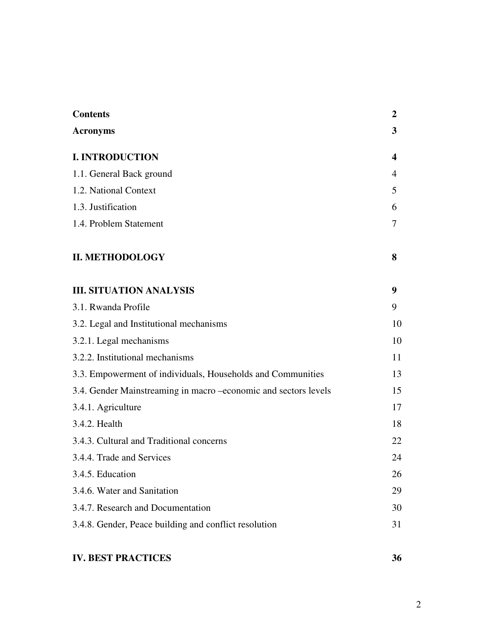| <b>Contents</b>                                                 | $\overline{2}$   |
|-----------------------------------------------------------------|------------------|
| <b>Acronyms</b>                                                 | 3                |
| <b>I. INTRODUCTION</b>                                          | $\boldsymbol{4}$ |
| 1.1. General Back ground                                        | 4                |
| 1.2. National Context                                           | 5                |
| 1.3. Justification                                              | 6                |
| 1.4. Problem Statement                                          | 7                |
| <b>II. METHODOLOGY</b>                                          | 8                |
| <b>III. SITUATION ANALYSIS</b>                                  | 9                |
| 3.1. Rwanda Profile                                             | 9                |
| 3.2. Legal and Institutional mechanisms                         | 10               |
| 3.2.1. Legal mechanisms                                         | 10               |
| 3.2.2. Institutional mechanisms                                 | 11               |
| 3.3. Empowerment of individuals, Households and Communities     | 13               |
| 3.4. Gender Mainstreaming in macro -economic and sectors levels | 15               |
| 3.4.1. Agriculture                                              | 17               |
| 3.4.2. Health                                                   | 18               |
| 3.4.3. Cultural and Traditional concerns                        | 22               |
| 3.4.4. Trade and Services                                       | 24               |
| 3.4.5. Education                                                | 26               |
| 3.4.6. Water and Sanitation                                     | 29               |
| 3.4.7. Research and Documentation                               | 30               |
| 3.4.8. Gender, Peace building and conflict resolution           | 31               |

# **IV. BEST PRACTICES 36**

2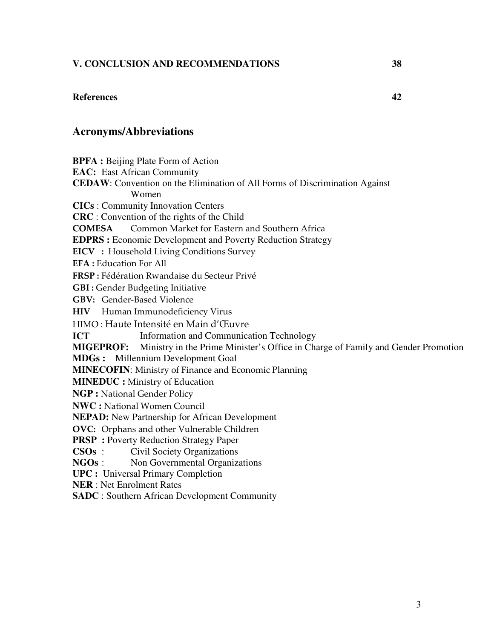# **V. CONCLUSION AND RECOMMENDATIONS 38**

#### **References 42**

# **Acronyms/Abbreviations**

**BPFA :** Beijing Plate Form of Action **EAC:** East African Community

**CEDAW**: Convention on the Elimination of All Forms of Discrimination Against Women

**CICs** : Community Innovation Centers

**CRC** : Convention of the rights of the Child

COMESA Common Market for Eastern and Southern Africa

**EDPRS :** Economic Development and Poverty Reduction Strategy

EICV : Household Living Conditions Survey

EFA : Education For All

FRSP : Fédération Rwandaise du Secteur Privé

GBI : Gender Budgeting Initiative

GBV: Gender-Based Violence

HIV Human Immunodeficiency Virus

HIMO : Haute Intensité en Main d'Œuvre

**ICT** Information and Communication Technology

**MIGEPROF:** Ministry in the Prime Minister's Office in Charge of Family and Gender Promotion

**MDGs :** Millennium Development Goal

**MINECOFIN**: Ministry of Finance and Economic Planning

**MINEDUC :** Ministry of Education

**NGP :** National Gender Policy

**NWC :** National Women Council

**NEPAD:** New Partnership for African Development

OVC: Orphans and other Vulnerable Children

**PRSP** : Poverty Reduction Strategy Paper

**CSOs** : Civil Society Organizations

**NGOs** : Non Governmental Organizations

**UPC :** Universal Primary Completion

**NER** : Net Enrolment Rates

**SADC** : Southern African Development Community

3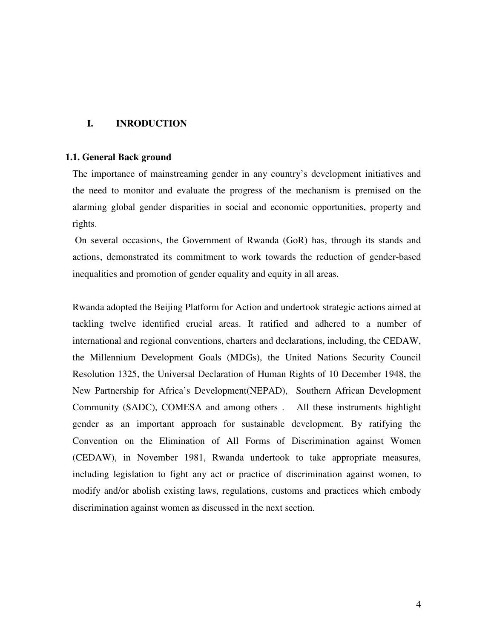# **I. INRODUCTION**

#### **1.1. General Back ground**

The importance of mainstreaming gender in any country's development initiatives and the need to monitor and evaluate the progress of the mechanism is premised on the alarming global gender disparities in social and economic opportunities, property and rights.

 On several occasions, the Government of Rwanda (GoR) has, through its stands and actions, demonstrated its commitment to work towards the reduction of gender-based inequalities and promotion of gender equality and equity in all areas.

Rwanda adopted the Beijing Platform for Action and undertook strategic actions aimed at tackling twelve identified crucial areas. It ratified and adhered to a number of international and regional conventions, charters and declarations, including, the CEDAW, the Millennium Development Goals (MDGs), the United Nations Security Council Resolution 1325, the Universal Declaration of Human Rights of 10 December 1948, the New Partnership for Africa's Development(NEPAD), Southern African Development Community (SADC), COMESA and among others . All these instruments highlight gender as an important approach for sustainable development. By ratifying the Convention on the Elimination of All Forms of Discrimination against Women (CEDAW), in November 1981, Rwanda undertook to take appropriate measures, including legislation to fight any act or practice of discrimination against women, to modify and/or abolish existing laws, regulations, customs and practices which embody discrimination against women as discussed in the next section.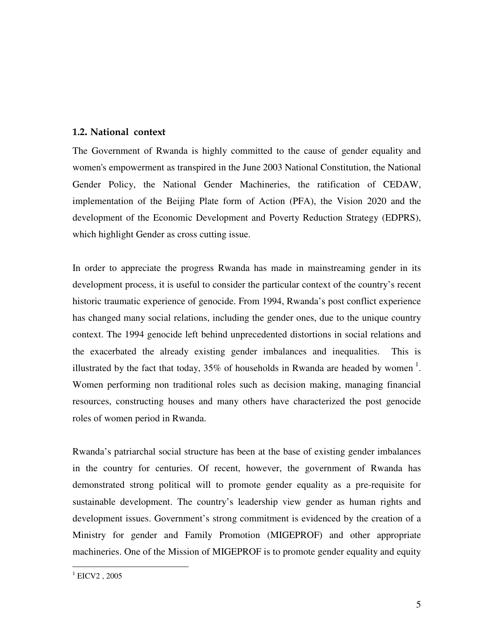# 1.2. National context

The Government of Rwanda is highly committed to the cause of gender equality and women's empowerment as transpired in the June 2003 National Constitution, the National Gender Policy, the National Gender Machineries, the ratification of CEDAW, implementation of the Beijing Plate form of Action (PFA), the Vision 2020 and the development of the Economic Development and Poverty Reduction Strategy (EDPRS), which highlight Gender as cross cutting issue.

In order to appreciate the progress Rwanda has made in mainstreaming gender in its development process, it is useful to consider the particular context of the country's recent historic traumatic experience of genocide. From 1994, Rwanda's post conflict experience has changed many social relations, including the gender ones, due to the unique country context. The 1994 genocide left behind unprecedented distortions in social relations and the exacerbated the already existing gender imbalances and inequalities. This is illustrated by the fact that today,  $35\%$  of households in Rwanda are headed by women<sup>1</sup>. Women performing non traditional roles such as decision making, managing financial resources, constructing houses and many others have characterized the post genocide roles of women period in Rwanda.

Rwanda's patriarchal social structure has been at the base of existing gender imbalances in the country for centuries. Of recent, however, the government of Rwanda has demonstrated strong political will to promote gender equality as a pre-requisite for sustainable development. The country's leadership view gender as human rights and development issues. Government's strong commitment is evidenced by the creation of a Ministry for gender and Family Promotion (MIGEPROF) and other appropriate machineries. One of the Mission of MIGEPROF is to promote gender equality and equity

l  $^1$  EICV2, 2005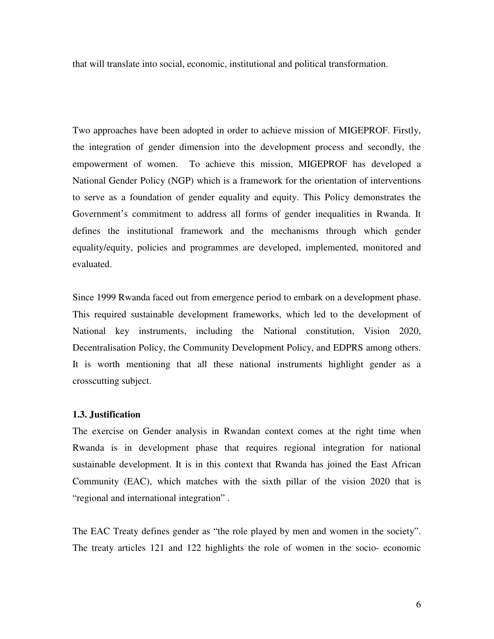that will translate into social, economic, institutional and political transformation.

Two approaches have been adopted in order to achieve mission of MIGEPROF. Firstly, the integration of gender dimension into the development process and secondly, the empowerment of women. To achieve this mission, MIGEPROF has developed a National Gender Policy (NGP) which is a framework for the orientation of interventions to serve as a foundation of gender equality and equity. This Policy demonstrates the Government's commitment to address all forms of gender inequalities in Rwanda. It defines the institutional framework and the mechanisms through which gender equality/equity, policies and programmes are developed, implemented, monitored and evaluated.

Since 1999 Rwanda faced out from emergence period to embark on a development phase. This required sustainable development frameworks, which led to the development of National key instruments, including the National constitution, Vision 2020, Decentralisation Policy, the Community Development Policy, and EDPRS among others. It is worth mentioning that all these national instruments highlight gender as a crosscutting subject.

#### **1.3. Justification**

The exercise on Gender analysis in Rwandan context comes at the right time when Rwanda is in development phase that requires regional integration for national sustainable development. It is in this context that Rwanda has joined the East African Community (EAC), which matches with the sixth pillar of the vision 2020 that is "regional and international integration" .

The EAC Treaty defines gender as "the role played by men and women in the society". The treaty articles 121 and 122 highlights the role of women in the socio- economic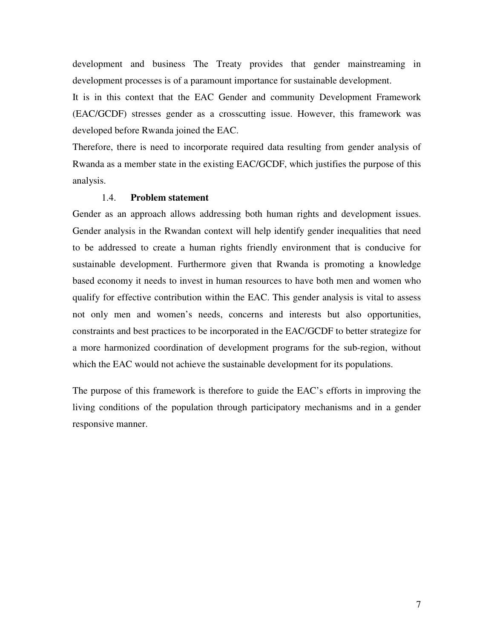development and business The Treaty provides that gender mainstreaming in development processes is of a paramount importance for sustainable development.

It is in this context that the EAC Gender and community Development Framework (EAC/GCDF) stresses gender as a crosscutting issue. However, this framework was developed before Rwanda joined the EAC.

Therefore, there is need to incorporate required data resulting from gender analysis of Rwanda as a member state in the existing EAC/GCDF, which justifies the purpose of this analysis.

#### 1.4. **Problem statement**

Gender as an approach allows addressing both human rights and development issues. Gender analysis in the Rwandan context will help identify gender inequalities that need to be addressed to create a human rights friendly environment that is conducive for sustainable development. Furthermore given that Rwanda is promoting a knowledge based economy it needs to invest in human resources to have both men and women who qualify for effective contribution within the EAC. This gender analysis is vital to assess not only men and women's needs, concerns and interests but also opportunities, constraints and best practices to be incorporated in the EAC/GCDF to better strategize for a more harmonized coordination of development programs for the sub-region, without which the EAC would not achieve the sustainable development for its populations.

The purpose of this framework is therefore to guide the EAC's efforts in improving the living conditions of the population through participatory mechanisms and in a gender responsive manner.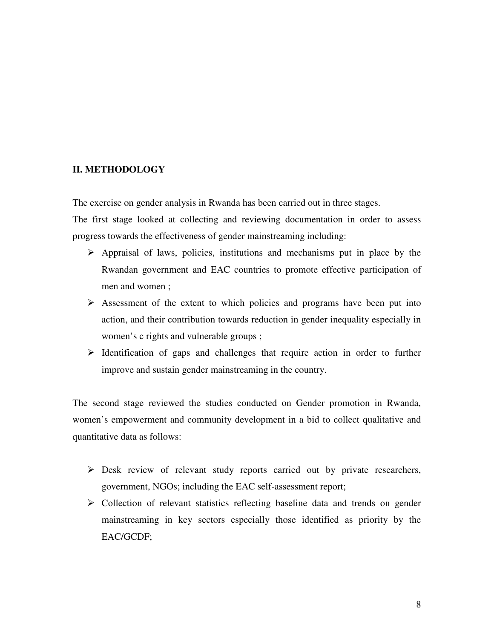# **II. METHODOLOGY**

The exercise on gender analysis in Rwanda has been carried out in three stages.

The first stage looked at collecting and reviewing documentation in order to assess progress towards the effectiveness of gender mainstreaming including:

- $\triangleright$  Appraisal of laws, policies, institutions and mechanisms put in place by the Rwandan government and EAC countries to promote effective participation of men and women ;
- $\triangleright$  Assessment of the extent to which policies and programs have been put into action, and their contribution towards reduction in gender inequality especially in women's c rights and vulnerable groups ;
- $\triangleright$  Identification of gaps and challenges that require action in order to further improve and sustain gender mainstreaming in the country.

The second stage reviewed the studies conducted on Gender promotion in Rwanda, women's empowerment and community development in a bid to collect qualitative and quantitative data as follows:

- Desk review of relevant study reports carried out by private researchers, government, NGOs; including the EAC self-assessment report;
- $\triangleright$  Collection of relevant statistics reflecting baseline data and trends on gender mainstreaming in key sectors especially those identified as priority by the EAC/GCDF;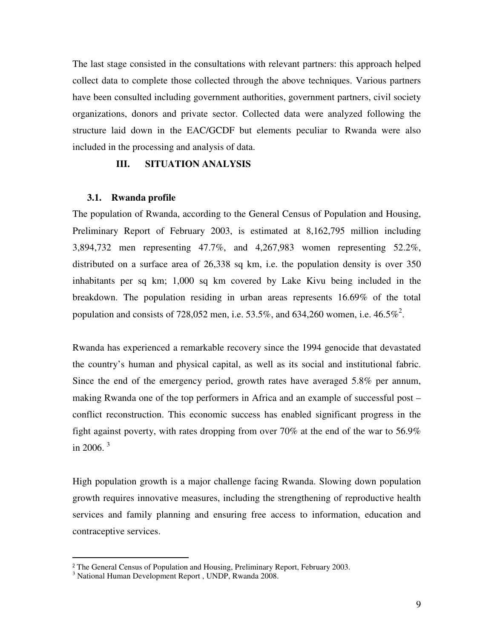The last stage consisted in the consultations with relevant partners: this approach helped collect data to complete those collected through the above techniques. Various partners have been consulted including government authorities, government partners, civil society organizations, donors and private sector. Collected data were analyzed following the structure laid down in the EAC/GCDF but elements peculiar to Rwanda were also included in the processing and analysis of data.

#### **III. SITUATION ANALYSIS**

#### **3.1. Rwanda profile**

The population of Rwanda, according to the General Census of Population and Housing, Preliminary Report of February 2003, is estimated at 8,162,795 million including 3,894,732 men representing 47.7%, and 4,267,983 women representing 52.2%, distributed on a surface area of 26,338 sq km, i.e. the population density is over 350 inhabitants per sq km; 1,000 sq km covered by Lake Kivu being included in the breakdown. The population residing in urban areas represents 16.69% of the total population and consists of 728,052 men, i.e. 53.5%, and 634,260 women, i.e.  $46.5\%$ <sup>2</sup>.

Rwanda has experienced a remarkable recovery since the 1994 genocide that devastated the country's human and physical capital, as well as its social and institutional fabric. Since the end of the emergency period, growth rates have averaged 5.8% per annum, making Rwanda one of the top performers in Africa and an example of successful post – conflict reconstruction. This economic success has enabled significant progress in the fight against poverty, with rates dropping from over 70% at the end of the war to 56.9% in 2006.<sup>3</sup>

High population growth is a major challenge facing Rwanda. Slowing down population growth requires innovative measures, including the strengthening of reproductive health services and family planning and ensuring free access to information, education and contraceptive services.

 $\overline{a}$ 

<sup>&</sup>lt;sup>2</sup> The General Census of Population and Housing, Preliminary Report, February 2003.

<sup>3</sup> National Human Development Report , UNDP, Rwanda 2008.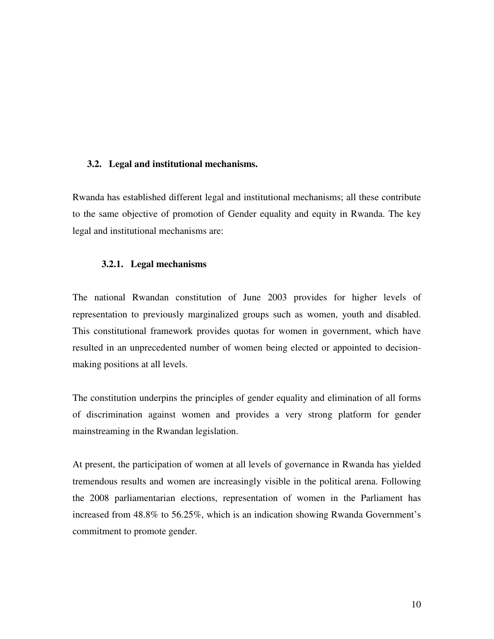#### **3.2. Legal and institutional mechanisms.**

Rwanda has established different legal and institutional mechanisms; all these contribute to the same objective of promotion of Gender equality and equity in Rwanda. The key legal and institutional mechanisms are:

#### **3.2.1. Legal mechanisms**

The national Rwandan constitution of June 2003 provides for higher levels of representation to previously marginalized groups such as women, youth and disabled. This constitutional framework provides quotas for women in government, which have resulted in an unprecedented number of women being elected or appointed to decisionmaking positions at all levels.

The constitution underpins the principles of gender equality and elimination of all forms of discrimination against women and provides a very strong platform for gender mainstreaming in the Rwandan legislation.

At present, the participation of women at all levels of governance in Rwanda has yielded tremendous results and women are increasingly visible in the political arena. Following the 2008 parliamentarian elections, representation of women in the Parliament has increased from 48.8% to 56.25%, which is an indication showing Rwanda Government's commitment to promote gender.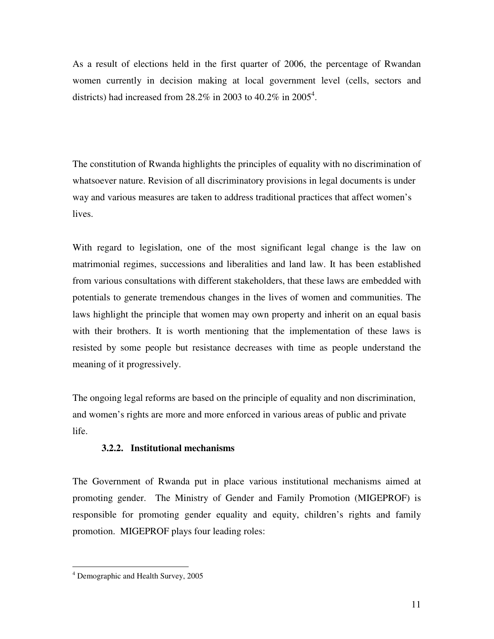As a result of elections held in the first quarter of 2006, the percentage of Rwandan women currently in decision making at local government level (cells, sectors and districts) had increased from 28.2% in 2003 to 40.2% in 2005<sup>4</sup>.

The constitution of Rwanda highlights the principles of equality with no discrimination of whatsoever nature. Revision of all discriminatory provisions in legal documents is under way and various measures are taken to address traditional practices that affect women's lives.

With regard to legislation, one of the most significant legal change is the law on matrimonial regimes, successions and liberalities and land law. It has been established from various consultations with different stakeholders, that these laws are embedded with potentials to generate tremendous changes in the lives of women and communities. The laws highlight the principle that women may own property and inherit on an equal basis with their brothers. It is worth mentioning that the implementation of these laws is resisted by some people but resistance decreases with time as people understand the meaning of it progressively.

The ongoing legal reforms are based on the principle of equality and non discrimination, and women's rights are more and more enforced in various areas of public and private life.

# **3.2.2. Institutional mechanisms**

The Government of Rwanda put in place various institutional mechanisms aimed at promoting gender. The Ministry of Gender and Family Promotion (MIGEPROF) is responsible for promoting gender equality and equity, children's rights and family promotion. MIGEPROF plays four leading roles:

l

<sup>4</sup> Demographic and Health Survey, 2005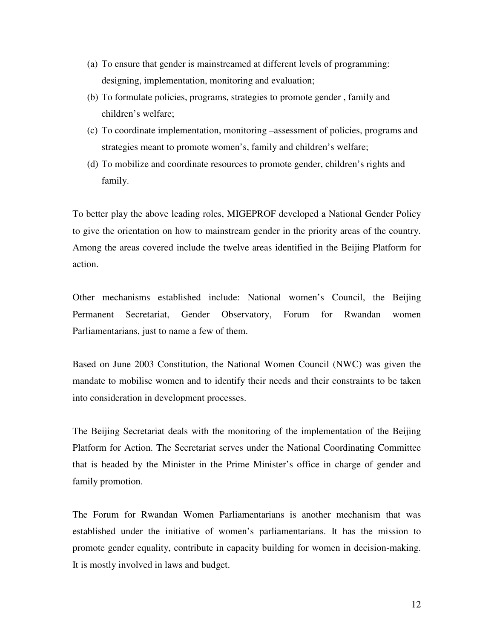- (a) To ensure that gender is mainstreamed at different levels of programming: designing, implementation, monitoring and evaluation;
- (b) To formulate policies, programs, strategies to promote gender , family and children's welfare;
- (c) To coordinate implementation, monitoring –assessment of policies, programs and strategies meant to promote women's, family and children's welfare;
- (d) To mobilize and coordinate resources to promote gender, children's rights and family.

To better play the above leading roles, MIGEPROF developed a National Gender Policy to give the orientation on how to mainstream gender in the priority areas of the country. Among the areas covered include the twelve areas identified in the Beijing Platform for action.

Other mechanisms established include: National women's Council, the Beijing Permanent Secretariat, Gender Observatory, Forum for Rwandan women Parliamentarians, just to name a few of them.

Based on June 2003 Constitution, the National Women Council (NWC) was given the mandate to mobilise women and to identify their needs and their constraints to be taken into consideration in development processes.

The Beijing Secretariat deals with the monitoring of the implementation of the Beijing Platform for Action. The Secretariat serves under the National Coordinating Committee that is headed by the Minister in the Prime Minister's office in charge of gender and family promotion.

The Forum for Rwandan Women Parliamentarians is another mechanism that was established under the initiative of women's parliamentarians. It has the mission to promote gender equality, contribute in capacity building for women in decision-making. It is mostly involved in laws and budget.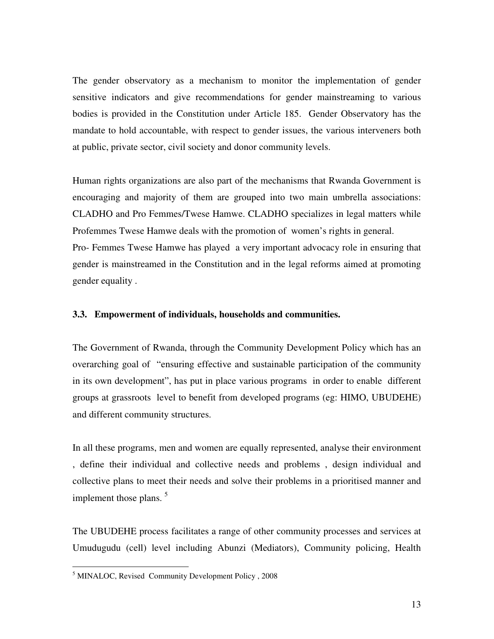The gender observatory as a mechanism to monitor the implementation of gender sensitive indicators and give recommendations for gender mainstreaming to various bodies is provided in the Constitution under Article 185. Gender Observatory has the mandate to hold accountable, with respect to gender issues, the various interveners both at public, private sector, civil society and donor community levels.

Human rights organizations are also part of the mechanisms that Rwanda Government is encouraging and majority of them are grouped into two main umbrella associations: CLADHO and Pro Femmes/Twese Hamwe. CLADHO specializes in legal matters while Profemmes Twese Hamwe deals with the promotion of women's rights in general. Pro- Femmes Twese Hamwe has played a very important advocacy role in ensuring that gender is mainstreamed in the Constitution and in the legal reforms aimed at promoting gender equality .

#### **3.3. Empowerment of individuals, households and communities.**

The Government of Rwanda, through the Community Development Policy which has an overarching goal of "ensuring effective and sustainable participation of the community in its own development", has put in place various programs in order to enable different groups at grassroots level to benefit from developed programs (eg: HIMO, UBUDEHE) and different community structures.

In all these programs, men and women are equally represented, analyse their environment , define their individual and collective needs and problems , design individual and collective plans to meet their needs and solve their problems in a prioritised manner and implement those plans.  $5$ 

The UBUDEHE process facilitates a range of other community processes and services at Umudugudu (cell) level including Abunzi (Mediators), Community policing, Health

l

<sup>&</sup>lt;sup>5</sup> MINALOC, Revised Community Development Policy, 2008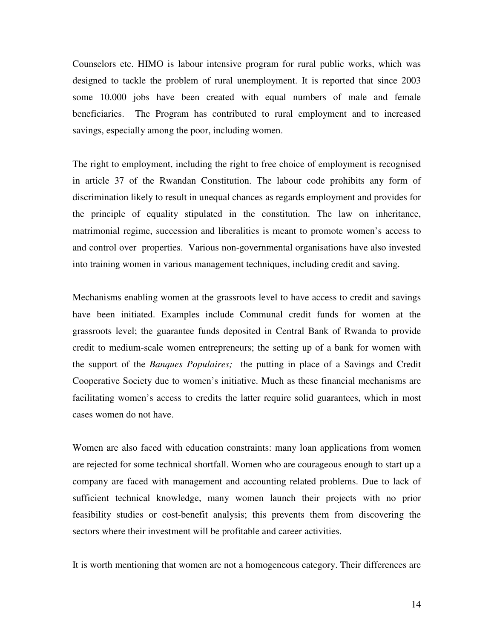Counselors etc. HIMO is labour intensive program for rural public works, which was designed to tackle the problem of rural unemployment. It is reported that since 2003 some 10.000 jobs have been created with equal numbers of male and female beneficiaries. The Program has contributed to rural employment and to increased savings, especially among the poor, including women.

The right to employment, including the right to free choice of employment is recognised in article 37 of the Rwandan Constitution. The labour code prohibits any form of discrimination likely to result in unequal chances as regards employment and provides for the principle of equality stipulated in the constitution. The law on inheritance, matrimonial regime, succession and liberalities is meant to promote women's access to and control over properties. Various non-governmental organisations have also invested into training women in various management techniques, including credit and saving.

Mechanisms enabling women at the grassroots level to have access to credit and savings have been initiated. Examples include Communal credit funds for women at the grassroots level; the guarantee funds deposited in Central Bank of Rwanda to provide credit to medium-scale women entrepreneurs; the setting up of a bank for women with the support of the *Banques Populaires;* the putting in place of a Savings and Credit Cooperative Society due to women's initiative. Much as these financial mechanisms are facilitating women's access to credits the latter require solid guarantees, which in most cases women do not have.

Women are also faced with education constraints: many loan applications from women are rejected for some technical shortfall. Women who are courageous enough to start up a company are faced with management and accounting related problems. Due to lack of sufficient technical knowledge, many women launch their projects with no prior feasibility studies or cost-benefit analysis; this prevents them from discovering the sectors where their investment will be profitable and career activities.

It is worth mentioning that women are not a homogeneous category. Their differences are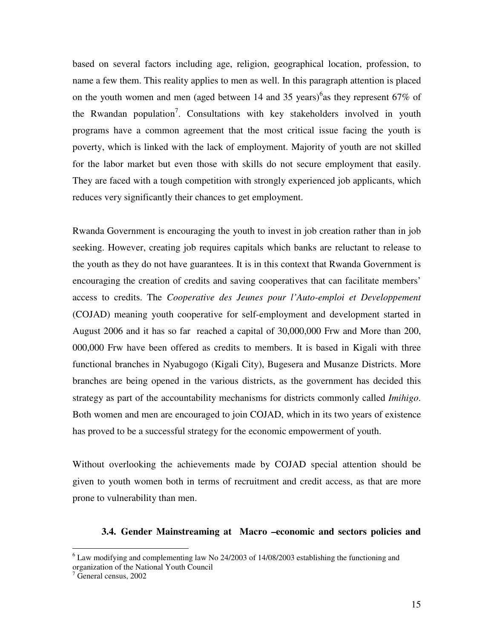based on several factors including age, religion, geographical location, profession, to name a few them. This reality applies to men as well. In this paragraph attention is placed on the youth women and men (aged between 14 and 35 years)<sup>6</sup> as they represent 67% of the Rwandan population<sup>7</sup>. Consultations with key stakeholders involved in youth programs have a common agreement that the most critical issue facing the youth is poverty, which is linked with the lack of employment. Majority of youth are not skilled for the labor market but even those with skills do not secure employment that easily. They are faced with a tough competition with strongly experienced job applicants, which reduces very significantly their chances to get employment.

Rwanda Government is encouraging the youth to invest in job creation rather than in job seeking. However, creating job requires capitals which banks are reluctant to release to the youth as they do not have guarantees. It is in this context that Rwanda Government is encouraging the creation of credits and saving cooperatives that can facilitate members' access to credits. The *Cooperative des Jeunes pour l'Auto-emploi et Developpement* (COJAD) meaning youth cooperative for self-employment and development started in August 2006 and it has so far reached a capital of 30,000,000 Frw and More than 200, 000,000 Frw have been offered as credits to members. It is based in Kigali with three functional branches in Nyabugogo (Kigali City), Bugesera and Musanze Districts. More branches are being opened in the various districts, as the government has decided this strategy as part of the accountability mechanisms for districts commonly called *Imihigo*. Both women and men are encouraged to join COJAD, which in its two years of existence has proved to be a successful strategy for the economic empowerment of youth.

Without overlooking the achievements made by COJAD special attention should be given to youth women both in terms of recruitment and credit access, as that are more prone to vulnerability than men.

#### **3.4. Gender Mainstreaming at Macro –economic and sectors policies and**

 6 Law modifying and complementing law No 24/2003 of 14/08/2003 establishing the functioning and organization of the National Youth Council

<sup>7</sup> General census, 2002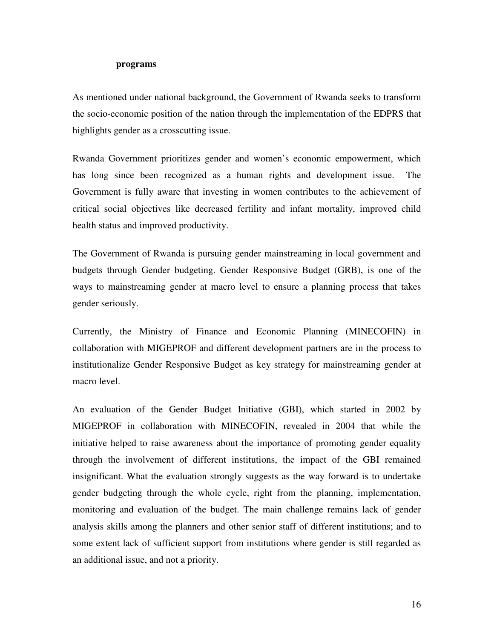#### **programs**

As mentioned under national background, the Government of Rwanda seeks to transform the socio-economic position of the nation through the implementation of the EDPRS that highlights gender as a crosscutting issue.

Rwanda Government prioritizes gender and women's economic empowerment, which has long since been recognized as a human rights and development issue. The Government is fully aware that investing in women contributes to the achievement of critical social objectives like decreased fertility and infant mortality, improved child health status and improved productivity.

The Government of Rwanda is pursuing gender mainstreaming in local government and budgets through Gender budgeting. Gender Responsive Budget (GRB), is one of the ways to mainstreaming gender at macro level to ensure a planning process that takes gender seriously.

Currently, the Ministry of Finance and Economic Planning (MINECOFIN) in collaboration with MIGEPROF and different development partners are in the process to institutionalize Gender Responsive Budget as key strategy for mainstreaming gender at macro level.

An evaluation of the Gender Budget Initiative (GBI), which started in 2002 by MIGEPROF in collaboration with MINECOFIN, revealed in 2004 that while the initiative helped to raise awareness about the importance of promoting gender equality through the involvement of different institutions, the impact of the GBI remained insignificant. What the evaluation strongly suggests as the way forward is to undertake gender budgeting through the whole cycle, right from the planning, implementation, monitoring and evaluation of the budget. The main challenge remains lack of gender analysis skills among the planners and other senior staff of different institutions; and to some extent lack of sufficient support from institutions where gender is still regarded as an additional issue, and not a priority.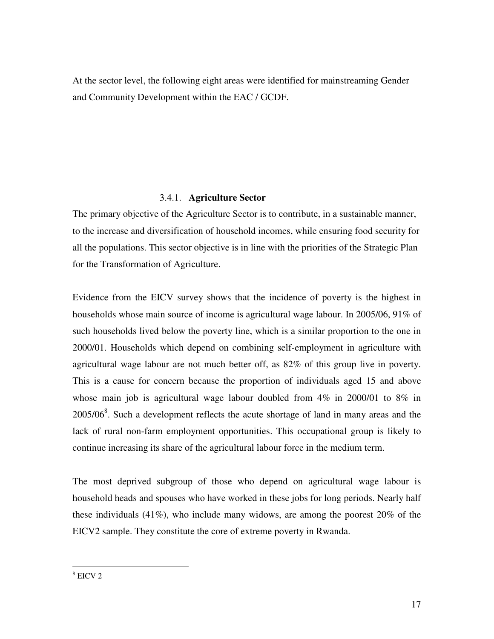At the sector level, the following eight areas were identified for mainstreaming Gender and Community Development within the EAC / GCDF.

# 3.4.1. **Agriculture Sector**

The primary objective of the Agriculture Sector is to contribute, in a sustainable manner, to the increase and diversification of household incomes, while ensuring food security for all the populations. This sector objective is in line with the priorities of the Strategic Plan for the Transformation of Agriculture.

Evidence from the EICV survey shows that the incidence of poverty is the highest in households whose main source of income is agricultural wage labour. In 2005/06, 91% of such households lived below the poverty line, which is a similar proportion to the one in 2000/01. Households which depend on combining self-employment in agriculture with agricultural wage labour are not much better off, as 82% of this group live in poverty. This is a cause for concern because the proportion of individuals aged 15 and above whose main job is agricultural wage labour doubled from  $4\%$  in 2000/01 to  $8\%$  in  $2005/06<sup>8</sup>$ . Such a development reflects the acute shortage of land in many areas and the lack of rural non-farm employment opportunities. This occupational group is likely to continue increasing its share of the agricultural labour force in the medium term.

The most deprived subgroup of those who depend on agricultural wage labour is household heads and spouses who have worked in these jobs for long periods. Nearly half these individuals (41%), who include many widows, are among the poorest 20% of the EICV2 sample. They constitute the core of extreme poverty in Rwanda.

l 8 EICV 2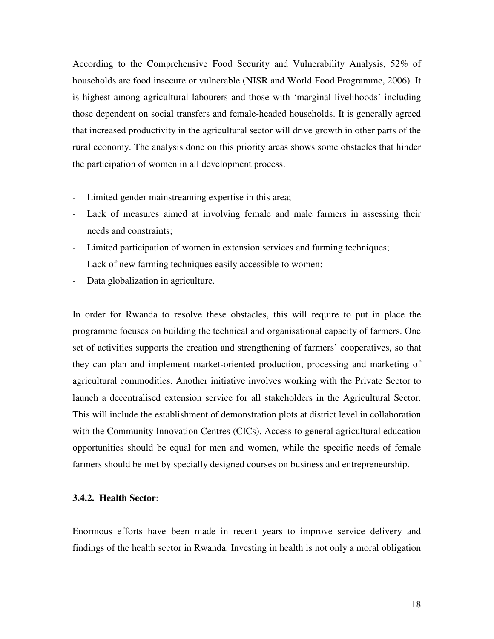According to the Comprehensive Food Security and Vulnerability Analysis, 52% of households are food insecure or vulnerable (NISR and World Food Programme, 2006). It is highest among agricultural labourers and those with 'marginal livelihoods' including those dependent on social transfers and female-headed households. It is generally agreed that increased productivity in the agricultural sector will drive growth in other parts of the rural economy. The analysis done on this priority areas shows some obstacles that hinder the participation of women in all development process.

- Limited gender mainstreaming expertise in this area;
- Lack of measures aimed at involving female and male farmers in assessing their needs and constraints;
- Limited participation of women in extension services and farming techniques;
- Lack of new farming techniques easily accessible to women;
- Data globalization in agriculture.

In order for Rwanda to resolve these obstacles, this will require to put in place the programme focuses on building the technical and organisational capacity of farmers. One set of activities supports the creation and strengthening of farmers' cooperatives, so that they can plan and implement market-oriented production, processing and marketing of agricultural commodities. Another initiative involves working with the Private Sector to launch a decentralised extension service for all stakeholders in the Agricultural Sector. This will include the establishment of demonstration plots at district level in collaboration with the Community Innovation Centres (CICs). Access to general agricultural education opportunities should be equal for men and women, while the specific needs of female farmers should be met by specially designed courses on business and entrepreneurship.

# **3.4.2. Health Sector**:

Enormous efforts have been made in recent years to improve service delivery and findings of the health sector in Rwanda. Investing in health is not only a moral obligation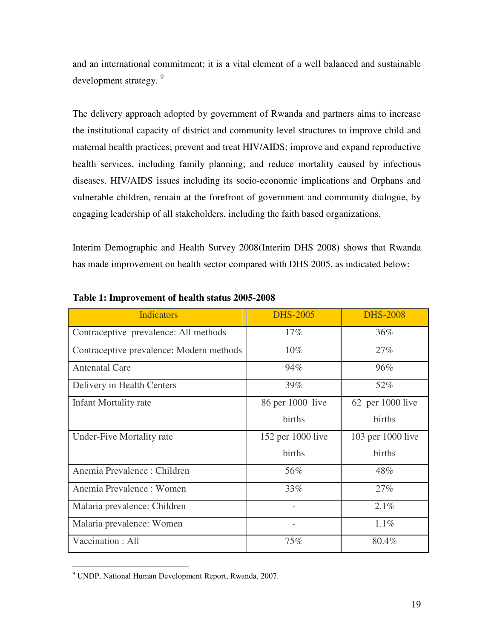and an international commitment; it is a vital element of a well balanced and sustainable development strategy.<sup>9</sup>

The delivery approach adopted by government of Rwanda and partners aims to increase the institutional capacity of district and community level structures to improve child and maternal health practices; prevent and treat HIV/AIDS; improve and expand reproductive health services, including family planning; and reduce mortality caused by infectious diseases. HIV/AIDS issues including its socio-economic implications and Orphans and vulnerable children, remain at the forefront of government and community dialogue, by engaging leadership of all stakeholders, including the faith based organizations.

Interim Demographic and Health Survey 2008(Interim DHS 2008) shows that Rwanda has made improvement on health sector compared with DHS 2005, as indicated below:

| <b>Indicators</b>                        | <b>DHS-2005</b>   | <b>DHS-2008</b>    |
|------------------------------------------|-------------------|--------------------|
| Contraceptive prevalence: All methods    | $17\%$            | 36%                |
| Contraceptive prevalence: Modern methods | $10\%$            | 27%                |
| <b>Antenatal Care</b>                    | 94%               | 96%                |
| Delivery in Health Centers               | 39%               | 52%                |
| Infant Mortality rate                    | 86 per 1000 live  | $62$ per 1000 live |
|                                          | births            | births             |
| Under-Five Mortality rate                | 152 per 1000 live | 103 per 1000 live  |
|                                          | births            | births             |
| Anemia Prevalence: Children              | 56%               | 48%                |
| Anemia Prevalence: Women                 | 33%               | 27%                |
| Malaria prevalence: Children             |                   | 2.1%               |
| Malaria prevalence: Women                |                   | $1.1\%$            |
| Vaccination: All                         | 75%               | 80.4%              |

# **Table 1: Improvement of health status 2005-2008**

l

<sup>9</sup> UNDP, National Human Development Report, Rwanda, 2007.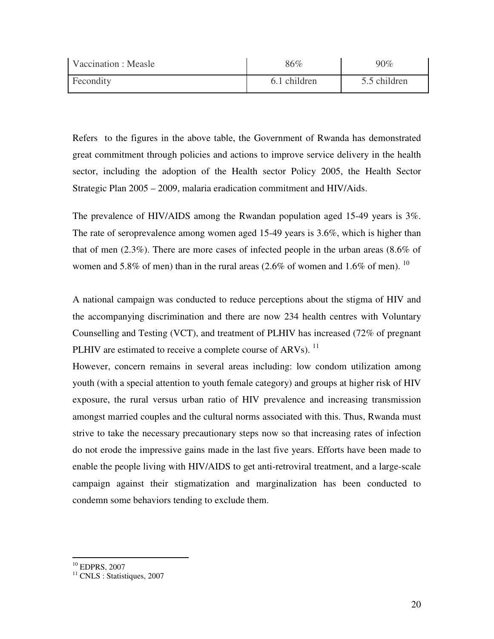| Vaccination : Measle | 86%          | 90%          |
|----------------------|--------------|--------------|
| Fecondity            | 6.1 children | 5.5 children |

Refers to the figures in the above table, the Government of Rwanda has demonstrated great commitment through policies and actions to improve service delivery in the health sector, including the adoption of the Health sector Policy 2005, the Health Sector Strategic Plan 2005 – 2009, malaria eradication commitment and HIV/Aids.

The prevalence of HIV/AIDS among the Rwandan population aged 15-49 years is 3%. The rate of seroprevalence among women aged 15-49 years is 3.6%, which is higher than that of men (2.3%). There are more cases of infected people in the urban areas (8.6% of women and 5.8% of men) than in the rural areas  $(2.6\%$  of women and 1.6% of men). <sup>10</sup>

A national campaign was conducted to reduce perceptions about the stigma of HIV and the accompanying discrimination and there are now 234 health centres with Voluntary Counselling and Testing (VCT), and treatment of PLHIV has increased (72% of pregnant PLHIV are estimated to receive a complete course of ARVs).  $^{11}$ 

However, concern remains in several areas including: low condom utilization among youth (with a special attention to youth female category) and groups at higher risk of HIV exposure, the rural versus urban ratio of HIV prevalence and increasing transmission amongst married couples and the cultural norms associated with this. Thus, Rwanda must strive to take the necessary precautionary steps now so that increasing rates of infection do not erode the impressive gains made in the last five years. Efforts have been made to enable the people living with HIV/AIDS to get anti-retroviral treatment, and a large-scale campaign against their stigmatization and marginalization has been conducted to condemn some behaviors tending to exclude them.

 $\overline{a}$ 

 $10$  EDPRS, 2007

<sup>&</sup>lt;sup>11</sup> CNLS : Statistiques, 2007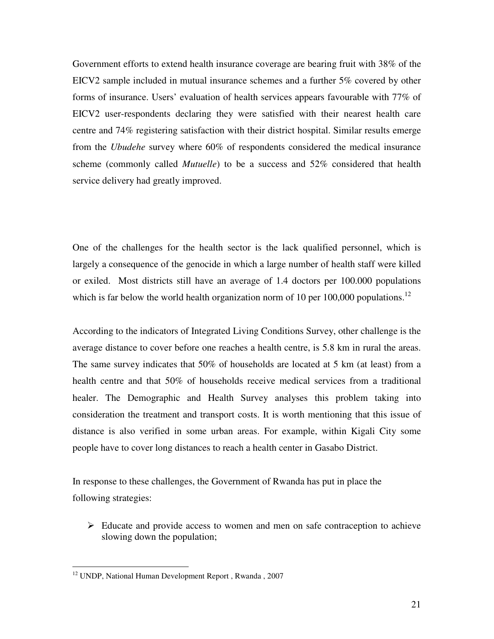Government efforts to extend health insurance coverage are bearing fruit with 38% of the EICV2 sample included in mutual insurance schemes and a further 5% covered by other forms of insurance. Users' evaluation of health services appears favourable with 77% of EICV2 user-respondents declaring they were satisfied with their nearest health care centre and 74% registering satisfaction with their district hospital. Similar results emerge from the *Ubudehe* survey where 60% of respondents considered the medical insurance scheme (commonly called *Mutuelle*) to be a success and 52% considered that health service delivery had greatly improved.

One of the challenges for the health sector is the lack qualified personnel, which is largely a consequence of the genocide in which a large number of health staff were killed or exiled. Most districts still have an average of 1.4 doctors per 100.000 populations which is far below the world health organization norm of 10 per 100,000 populations.<sup>12</sup>

According to the indicators of Integrated Living Conditions Survey, other challenge is the average distance to cover before one reaches a health centre, is 5.8 km in rural the areas. The same survey indicates that 50% of households are located at 5 km (at least) from a health centre and that 50% of households receive medical services from a traditional healer. The Demographic and Health Survey analyses this problem taking into consideration the treatment and transport costs. It is worth mentioning that this issue of distance is also verified in some urban areas. For example, within Kigali City some people have to cover long distances to reach a health center in Gasabo District.

In response to these challenges, the Government of Rwanda has put in place the following strategies:

 $\triangleright$  Educate and provide access to women and men on safe contraception to achieve slowing down the population;

l

<sup>&</sup>lt;sup>12</sup> UNDP, National Human Development Report, Rwanda, 2007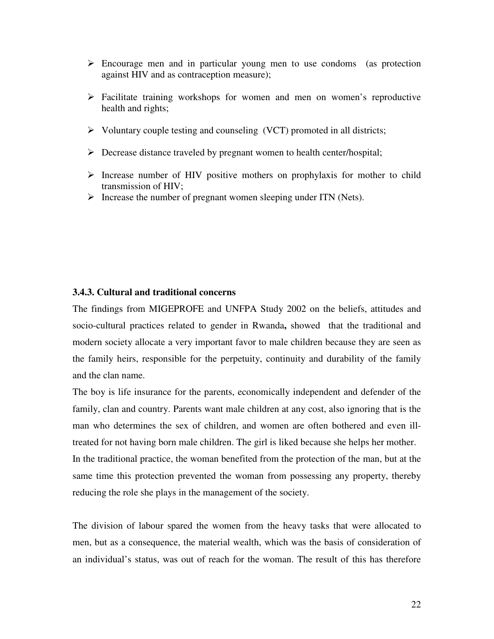- $\triangleright$  Encourage men and in particular young men to use condoms (as protection against HIV and as contraception measure);
- $\triangleright$  Facilitate training workshops for women and men on women's reproductive health and rights;
- $\triangleright$  Voluntary couple testing and counseling (VCT) promoted in all districts;
- $\triangleright$  Decrease distance traveled by pregnant women to health center/hospital;
- $\triangleright$  Increase number of HIV positive mothers on prophylaxis for mother to child transmission of HIV;
- $\triangleright$  Increase the number of pregnant women sleeping under ITN (Nets).

#### **3.4.3. Cultural and traditional concerns**

The findings from MIGEPROFE and UNFPA Study 2002 on the beliefs, attitudes and socio-cultural practices related to gender in Rwanda**,** showed that the traditional and modern society allocate a very important favor to male children because they are seen as the family heirs, responsible for the perpetuity, continuity and durability of the family and the clan name.

The boy is life insurance for the parents, economically independent and defender of the family, clan and country. Parents want male children at any cost, also ignoring that is the man who determines the sex of children, and women are often bothered and even illtreated for not having born male children. The girl is liked because she helps her mother. In the traditional practice, the woman benefited from the protection of the man, but at the same time this protection prevented the woman from possessing any property, thereby reducing the role she plays in the management of the society.

The division of labour spared the women from the heavy tasks that were allocated to men, but as a consequence, the material wealth, which was the basis of consideration of an individual's status, was out of reach for the woman. The result of this has therefore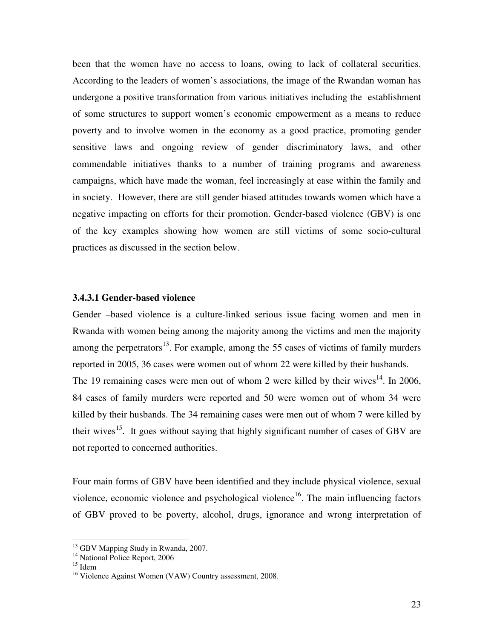been that the women have no access to loans, owing to lack of collateral securities. According to the leaders of women's associations, the image of the Rwandan woman has undergone a positive transformation from various initiatives including the establishment of some structures to support women's economic empowerment as a means to reduce poverty and to involve women in the economy as a good practice, promoting gender sensitive laws and ongoing review of gender discriminatory laws, and other commendable initiatives thanks to a number of training programs and awareness campaigns, which have made the woman, feel increasingly at ease within the family and in society. However, there are still gender biased attitudes towards women which have a negative impacting on efforts for their promotion. Gender-based violence (GBV) is one of the key examples showing how women are still victims of some socio-cultural practices as discussed in the section below.

#### **3.4.3.1 Gender-based violence**

Gender –based violence is a culture-linked serious issue facing women and men in Rwanda with women being among the majority among the victims and men the majority among the perpetrators<sup>13</sup>. For example, among the 55 cases of victims of family murders reported in 2005, 36 cases were women out of whom 22 were killed by their husbands. The 19 remaining cases were men out of whom 2 were killed by their wives<sup>14</sup>. In 2006, 84 cases of family murders were reported and 50 were women out of whom 34 were killed by their husbands. The 34 remaining cases were men out of whom 7 were killed by their wives<sup>15</sup>. It goes without saying that highly significant number of cases of GBV are not reported to concerned authorities.

Four main forms of GBV have been identified and they include physical violence, sexual violence, economic violence and psychological violence<sup>16</sup>. The main influencing factors of GBV proved to be poverty, alcohol, drugs, ignorance and wrong interpretation of

 $\overline{a}$ 

<sup>&</sup>lt;sup>13</sup> GBV Mapping Study in Rwanda, 2007.

<sup>&</sup>lt;sup>14</sup> National Police Report, 2006

 $15$  Idem

<sup>&</sup>lt;sup>16</sup> Violence Against Women (VAW) Country assessment, 2008.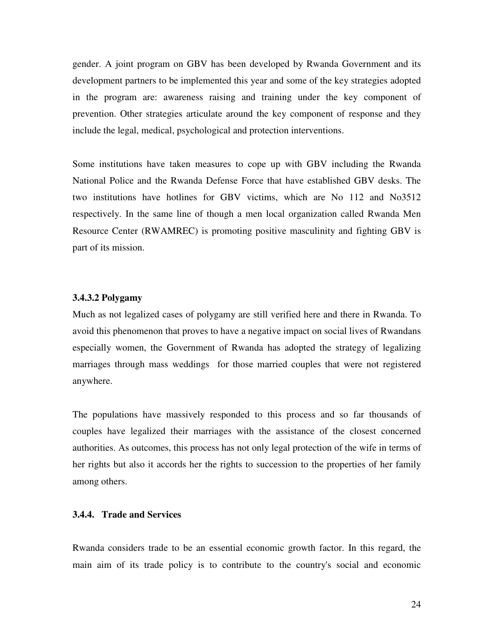gender. A joint program on GBV has been developed by Rwanda Government and its development partners to be implemented this year and some of the key strategies adopted in the program are: awareness raising and training under the key component of prevention. Other strategies articulate around the key component of response and they include the legal, medical, psychological and protection interventions.

Some institutions have taken measures to cope up with GBV including the Rwanda National Police and the Rwanda Defense Force that have established GBV desks. The two institutions have hotlines for GBV victims, which are No 112 and No3512 respectively. In the same line of though a men local organization called Rwanda Men Resource Center (RWAMREC) is promoting positive masculinity and fighting GBV is part of its mission.

# **3.4.3.2 Polygamy**

Much as not legalized cases of polygamy are still verified here and there in Rwanda. To avoid this phenomenon that proves to have a negative impact on social lives of Rwandans especially women, the Government of Rwanda has adopted the strategy of legalizing marriages through mass weddings for those married couples that were not registered anywhere.

The populations have massively responded to this process and so far thousands of couples have legalized their marriages with the assistance of the closest concerned authorities. As outcomes, this process has not only legal protection of the wife in terms of her rights but also it accords her the rights to succession to the properties of her family among others.

# **3.4.4. Trade and Services**

Rwanda considers trade to be an essential economic growth factor. In this regard, the main aim of its trade policy is to contribute to the country's social and economic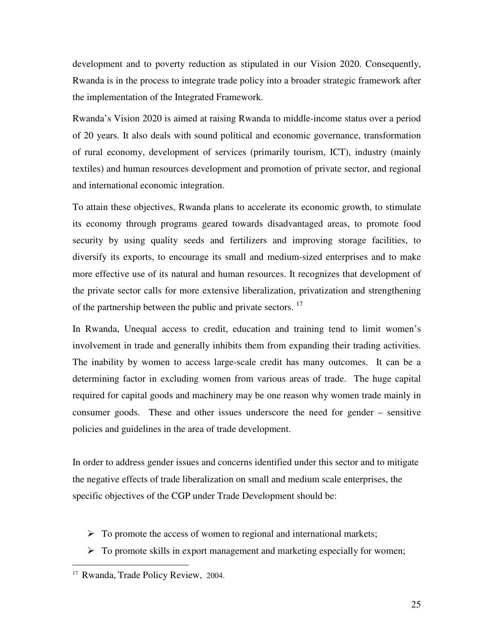development and to poverty reduction as stipulated in our Vision 2020. Consequently, Rwanda is in the process to integrate trade policy into a broader strategic framework after the implementation of the Integrated Framework.

Rwanda's Vision 2020 is aimed at raising Rwanda to middle-income status over a period of 20 years. It also deals with sound political and economic governance, transformation of rural economy, development of services (primarily tourism, ICT), industry (mainly textiles) and human resources development and promotion of private sector, and regional and international economic integration.

To attain these objectives, Rwanda plans to accelerate its economic growth, to stimulate its economy through programs geared towards disadvantaged areas, to promote food security by using quality seeds and fertilizers and improving storage facilities, to diversify its exports, to encourage its small and medium-sized enterprises and to make more effective use of its natural and human resources. It recognizes that development of the private sector calls for more extensive liberalization, privatization and strengthening of the partnership between the public and private sectors.<sup>17</sup>

In Rwanda, Unequal access to credit, education and training tend to limit women's involvement in trade and generally inhibits them from expanding their trading activities. The inability by women to access large-scale credit has many outcomes. It can be a determining factor in excluding women from various areas of trade. The huge capital required for capital goods and machinery may be one reason why women trade mainly in consumer goods. These and other issues underscore the need for gender – sensitive policies and guidelines in the area of trade development.

In order to address gender issues and concerns identified under this sector and to mitigate the negative effects of trade liberalization on small and medium scale enterprises, the specific objectives of the CGP under Trade Development should be:

- $\triangleright$  To promote the access of women to regional and international markets;
- $\triangleright$  To promote skills in export management and marketing especially for women;

 $\overline{a}$ 

<sup>&</sup>lt;sup>17</sup> Rwanda, Trade Policy Review, 2004.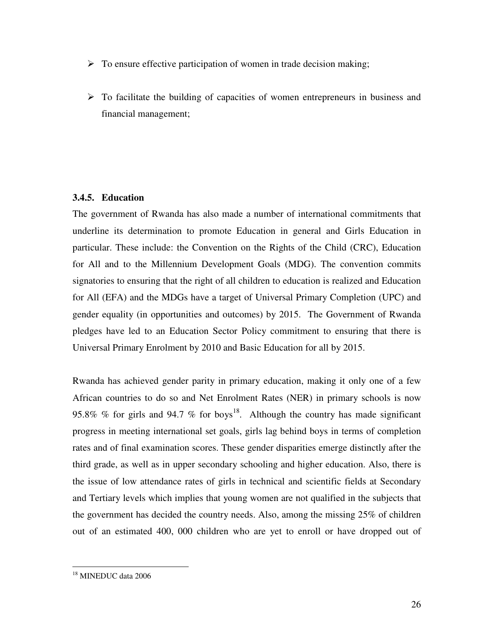- $\triangleright$  To ensure effective participation of women in trade decision making;
- $\triangleright$  To facilitate the building of capacities of women entrepreneurs in business and financial management;

# **3.4.5. Education**

The government of Rwanda has also made a number of international commitments that underline its determination to promote Education in general and Girls Education in particular. These include: the Convention on the Rights of the Child (CRC), Education for All and to the Millennium Development Goals (MDG). The convention commits signatories to ensuring that the right of all children to education is realized and Education for All (EFA) and the MDGs have a target of Universal Primary Completion (UPC) and gender equality (in opportunities and outcomes) by 2015. The Government of Rwanda pledges have led to an Education Sector Policy commitment to ensuring that there is Universal Primary Enrolment by 2010 and Basic Education for all by 2015.

Rwanda has achieved gender parity in primary education, making it only one of a few African countries to do so and Net Enrolment Rates (NER) in primary schools is now 95.8% % for girls and 94.7 % for boys<sup>18</sup>. Although the country has made significant progress in meeting international set goals, girls lag behind boys in terms of completion rates and of final examination scores. These gender disparities emerge distinctly after the third grade, as well as in upper secondary schooling and higher education. Also, there is the issue of low attendance rates of girls in technical and scientific fields at Secondary and Tertiary levels which implies that young women are not qualified in the subjects that the government has decided the country needs. Also, among the missing 25% of children out of an estimated 400, 000 children who are yet to enroll or have dropped out of

l <sup>18</sup> MINEDUC data 2006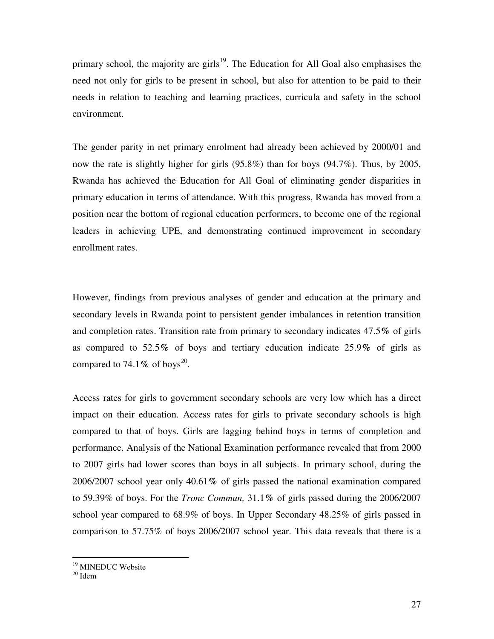primary school, the majority are girls<sup>19</sup>. The Education for All Goal also emphasises the need not only for girls to be present in school, but also for attention to be paid to their needs in relation to teaching and learning practices, curricula and safety in the school environment.

The gender parity in net primary enrolment had already been achieved by 2000/01 and now the rate is slightly higher for girls (95.8%) than for boys (94.7%). Thus, by 2005, Rwanda has achieved the Education for All Goal of eliminating gender disparities in primary education in terms of attendance. With this progress, Rwanda has moved from a position near the bottom of regional education performers, to become one of the regional leaders in achieving UPE, and demonstrating continued improvement in secondary enrollment rates.

However, findings from previous analyses of gender and education at the primary and secondary levels in Rwanda point to persistent gender imbalances in retention transition and completion rates. Transition rate from primary to secondary indicates 47.5**%** of girls as compared to 52.5**%** of boys and tertiary education indicate 25.9**%** of girls as compared to  $74.1\%$  of boys<sup>20</sup>.

Access rates for girls to government secondary schools are very low which has a direct impact on their education. Access rates for girls to private secondary schools is high compared to that of boys. Girls are lagging behind boys in terms of completion and performance. Analysis of the National Examination performance revealed that from 2000 to 2007 girls had lower scores than boys in all subjects. In primary school, during the 2006/2007 school year only 40.61**%** of girls passed the national examination compared to 59.39% of boys. For the *Tronc Commun,* 31.1**%** of girls passed during the 2006/2007 school year compared to 68.9% of boys. In Upper Secondary 48.25% of girls passed in comparison to 57.75% of boys 2006/2007 school year. This data reveals that there is a

 $20$  Idem

 $\overline{a}$ 

<sup>&</sup>lt;sup>19</sup> MINEDUC Website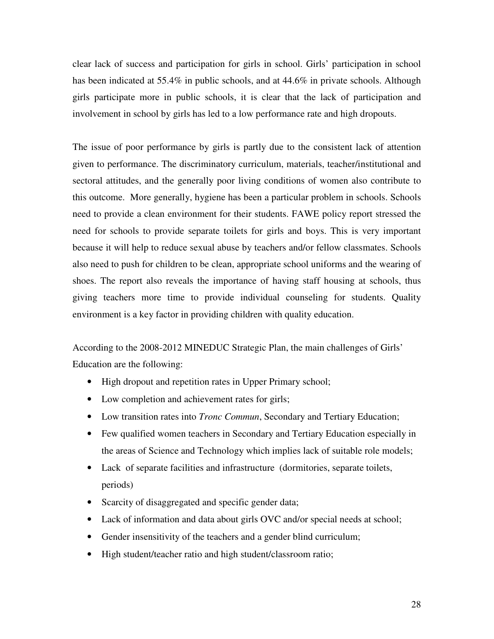clear lack of success and participation for girls in school. Girls' participation in school has been indicated at 55.4% in public schools, and at 44.6% in private schools. Although girls participate more in public schools, it is clear that the lack of participation and involvement in school by girls has led to a low performance rate and high dropouts.

The issue of poor performance by girls is partly due to the consistent lack of attention given to performance. The discriminatory curriculum, materials, teacher/institutional and sectoral attitudes, and the generally poor living conditions of women also contribute to this outcome. More generally, hygiene has been a particular problem in schools. Schools need to provide a clean environment for their students. FAWE policy report stressed the need for schools to provide separate toilets for girls and boys. This is very important because it will help to reduce sexual abuse by teachers and/or fellow classmates. Schools also need to push for children to be clean, appropriate school uniforms and the wearing of shoes. The report also reveals the importance of having staff housing at schools, thus giving teachers more time to provide individual counseling for students. Quality environment is a key factor in providing children with quality education.

According to the 2008-2012 MINEDUC Strategic Plan, the main challenges of Girls' Education are the following:

- High dropout and repetition rates in Upper Primary school;
- Low completion and achievement rates for girls;
- Low transition rates into *Tronc Commun*, Secondary and Tertiary Education;
- Few qualified women teachers in Secondary and Tertiary Education especially in the areas of Science and Technology which implies lack of suitable role models;
- Lack of separate facilities and infrastructure (dormitories, separate toilets, periods)
- Scarcity of disaggregated and specific gender data;
- Lack of information and data about girls OVC and/or special needs at school;
- Gender insensitivity of the teachers and a gender blind curriculum;
- High student/teacher ratio and high student/classroom ratio;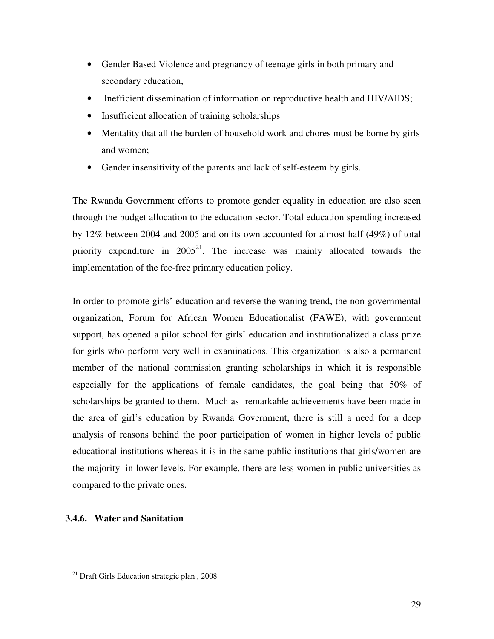- Gender Based Violence and pregnancy of teenage girls in both primary and secondary education,
- Inefficient dissemination of information on reproductive health and HIV/AIDS;
- Insufficient allocation of training scholarships
- Mentality that all the burden of household work and chores must be borne by girls and women;
- Gender insensitivity of the parents and lack of self-esteem by girls.

The Rwanda Government efforts to promote gender equality in education are also seen through the budget allocation to the education sector. Total education spending increased by 12% between 2004 and 2005 and on its own accounted for almost half (49%) of total priority expenditure in  $2005^{21}$ . The increase was mainly allocated towards the implementation of the fee-free primary education policy.

In order to promote girls' education and reverse the waning trend, the non-governmental organization, Forum for African Women Educationalist (FAWE), with government support, has opened a pilot school for girls' education and institutionalized a class prize for girls who perform very well in examinations. This organization is also a permanent member of the national commission granting scholarships in which it is responsible especially for the applications of female candidates, the goal being that 50% of scholarships be granted to them. Much as remarkable achievements have been made in the area of girl's education by Rwanda Government, there is still a need for a deep analysis of reasons behind the poor participation of women in higher levels of public educational institutions whereas it is in the same public institutions that girls/women are the majority in lower levels. For example, there are less women in public universities as compared to the private ones.

# **3.4.6. Water and Sanitation**

l

<sup>21</sup> Draft Girls Education strategic plan , 2008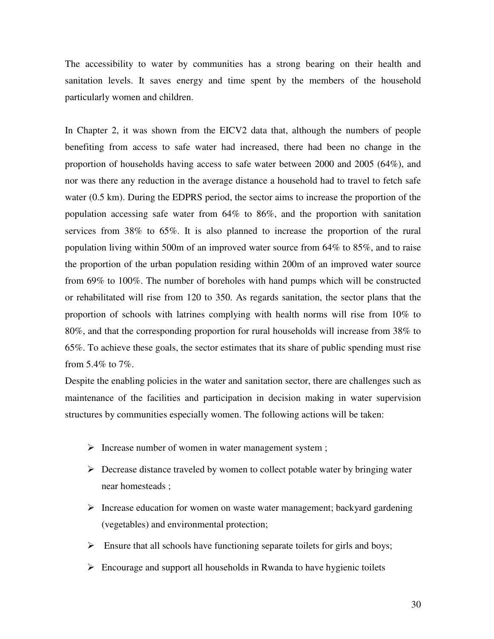The accessibility to water by communities has a strong bearing on their health and sanitation levels. It saves energy and time spent by the members of the household particularly women and children.

In Chapter 2, it was shown from the EICV2 data that, although the numbers of people benefiting from access to safe water had increased, there had been no change in the proportion of households having access to safe water between 2000 and 2005 (64%), and nor was there any reduction in the average distance a household had to travel to fetch safe water (0.5 km). During the EDPRS period, the sector aims to increase the proportion of the population accessing safe water from 64% to 86%, and the proportion with sanitation services from 38% to 65%. It is also planned to increase the proportion of the rural population living within 500m of an improved water source from 64% to 85%, and to raise the proportion of the urban population residing within 200m of an improved water source from 69% to 100%. The number of boreholes with hand pumps which will be constructed or rehabilitated will rise from 120 to 350. As regards sanitation, the sector plans that the proportion of schools with latrines complying with health norms will rise from 10% to 80%, and that the corresponding proportion for rural households will increase from 38% to 65%. To achieve these goals, the sector estimates that its share of public spending must rise from 5.4% to 7%.

Despite the enabling policies in the water and sanitation sector, there are challenges such as maintenance of the facilities and participation in decision making in water supervision structures by communities especially women. The following actions will be taken:

- $\triangleright$  Increase number of women in water management system;
- $\triangleright$  Decrease distance traveled by women to collect potable water by bringing water near homesteads ;
- $\triangleright$  Increase education for women on waste water management; backyard gardening (vegetables) and environmental protection;
- $\triangleright$  Ensure that all schools have functioning separate toilets for girls and boys;
- $\triangleright$  Encourage and support all households in Rwanda to have hygienic toilets

30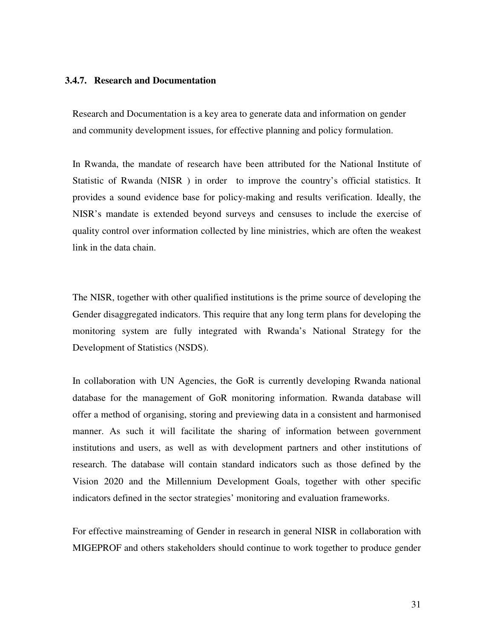#### **3.4.7. Research and Documentation**

Research and Documentation is a key area to generate data and information on gender and community development issues, for effective planning and policy formulation.

In Rwanda, the mandate of research have been attributed for the National Institute of Statistic of Rwanda (NISR ) in order to improve the country's official statistics. It provides a sound evidence base for policy-making and results verification. Ideally, the NISR's mandate is extended beyond surveys and censuses to include the exercise of quality control over information collected by line ministries, which are often the weakest link in the data chain.

The NISR, together with other qualified institutions is the prime source of developing the Gender disaggregated indicators. This require that any long term plans for developing the monitoring system are fully integrated with Rwanda's National Strategy for the Development of Statistics (NSDS).

In collaboration with UN Agencies, the GoR is currently developing Rwanda national database for the management of GoR monitoring information. Rwanda database will offer a method of organising, storing and previewing data in a consistent and harmonised manner. As such it will facilitate the sharing of information between government institutions and users, as well as with development partners and other institutions of research. The database will contain standard indicators such as those defined by the Vision 2020 and the Millennium Development Goals, together with other specific indicators defined in the sector strategies' monitoring and evaluation frameworks.

For effective mainstreaming of Gender in research in general NISR in collaboration with MIGEPROF and others stakeholders should continue to work together to produce gender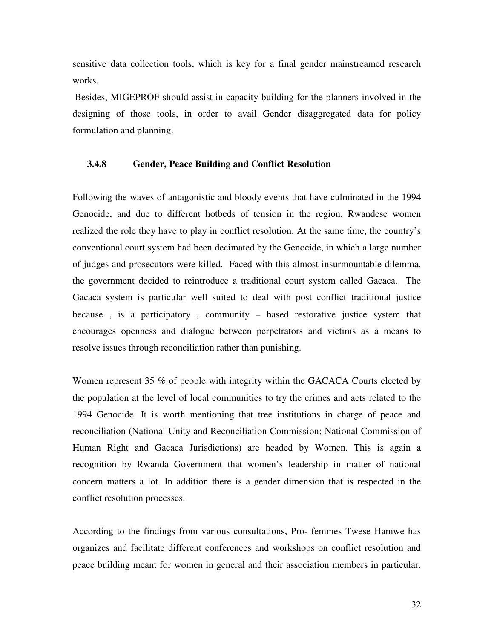sensitive data collection tools, which is key for a final gender mainstreamed research works.

 Besides, MIGEPROF should assist in capacity building for the planners involved in the designing of those tools, in order to avail Gender disaggregated data for policy formulation and planning.

#### **3.4.8 Gender, Peace Building and Conflict Resolution**

Following the waves of antagonistic and bloody events that have culminated in the 1994 Genocide, and due to different hotbeds of tension in the region, Rwandese women realized the role they have to play in conflict resolution. At the same time, the country's conventional court system had been decimated by the Genocide, in which a large number of judges and prosecutors were killed. Faced with this almost insurmountable dilemma, the government decided to reintroduce a traditional court system called Gacaca. The Gacaca system is particular well suited to deal with post conflict traditional justice because , is a participatory , community – based restorative justice system that encourages openness and dialogue between perpetrators and victims as a means to resolve issues through reconciliation rather than punishing.

Women represent 35 % of people with integrity within the GACACA Courts elected by the population at the level of local communities to try the crimes and acts related to the 1994 Genocide. It is worth mentioning that tree institutions in charge of peace and reconciliation (National Unity and Reconciliation Commission; National Commission of Human Right and Gacaca Jurisdictions) are headed by Women. This is again a recognition by Rwanda Government that women's leadership in matter of national concern matters a lot. In addition there is a gender dimension that is respected in the conflict resolution processes.

According to the findings from various consultations, Pro- femmes Twese Hamwe has organizes and facilitate different conferences and workshops on conflict resolution and peace building meant for women in general and their association members in particular.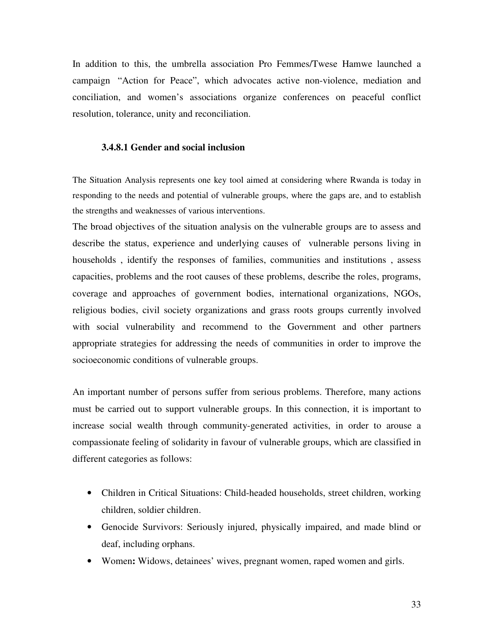In addition to this, the umbrella association Pro Femmes/Twese Hamwe launched a campaign "Action for Peace", which advocates active non-violence, mediation and conciliation, and women's associations organize conferences on peaceful conflict resolution, tolerance, unity and reconciliation.

#### **3.4.8.1 Gender and social inclusion**

The Situation Analysis represents one key tool aimed at considering where Rwanda is today in responding to the needs and potential of vulnerable groups, where the gaps are, and to establish the strengths and weaknesses of various interventions.

The broad objectives of the situation analysis on the vulnerable groups are to assess and describe the status, experience and underlying causes of vulnerable persons living in households , identify the responses of families, communities and institutions , assess capacities, problems and the root causes of these problems, describe the roles, programs, coverage and approaches of government bodies, international organizations, NGOs, religious bodies, civil society organizations and grass roots groups currently involved with social vulnerability and recommend to the Government and other partners appropriate strategies for addressing the needs of communities in order to improve the socioeconomic conditions of vulnerable groups.

An important number of persons suffer from serious problems. Therefore, many actions must be carried out to support vulnerable groups. In this connection, it is important to increase social wealth through community-generated activities, in order to arouse a compassionate feeling of solidarity in favour of vulnerable groups, which are classified in different categories as follows:

- Children in Critical Situations: Child-headed households, street children, working children, soldier children.
- Genocide Survivors: Seriously injured, physically impaired, and made blind or deaf, including orphans.
- Women**:** Widows, detainees' wives, pregnant women, raped women and girls.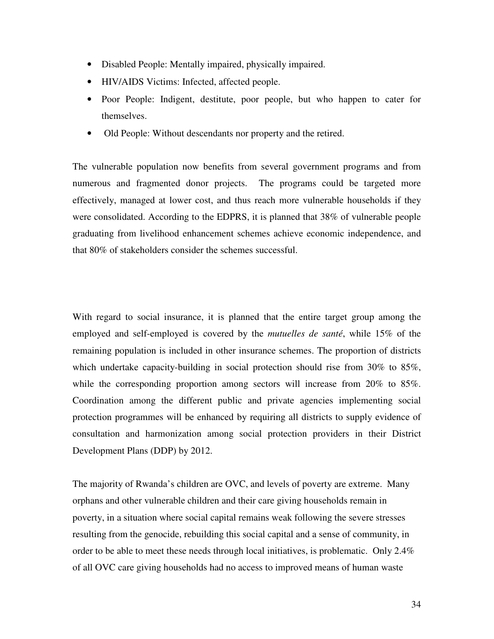- Disabled People: Mentally impaired, physically impaired.
- HIV/AIDS Victims: Infected, affected people.
- Poor People: Indigent, destitute, poor people, but who happen to cater for themselves.
- Old People: Without descendants nor property and the retired.

The vulnerable population now benefits from several government programs and from numerous and fragmented donor projects. The programs could be targeted more effectively, managed at lower cost, and thus reach more vulnerable households if they were consolidated. According to the EDPRS, it is planned that 38% of vulnerable people graduating from livelihood enhancement schemes achieve economic independence, and that 80% of stakeholders consider the schemes successful.

With regard to social insurance, it is planned that the entire target group among the employed and self-employed is covered by the *mutuelles de santé*, while 15% of the remaining population is included in other insurance schemes. The proportion of districts which undertake capacity-building in social protection should rise from 30% to 85%, while the corresponding proportion among sectors will increase from 20% to 85%. Coordination among the different public and private agencies implementing social protection programmes will be enhanced by requiring all districts to supply evidence of consultation and harmonization among social protection providers in their District Development Plans (DDP) by 2012.

The majority of Rwanda's children are OVC, and levels of poverty are extreme. Many orphans and other vulnerable children and their care giving households remain in poverty, in a situation where social capital remains weak following the severe stresses resulting from the genocide, rebuilding this social capital and a sense of community, in order to be able to meet these needs through local initiatives, is problematic. Only 2.4% of all OVC care giving households had no access to improved means of human waste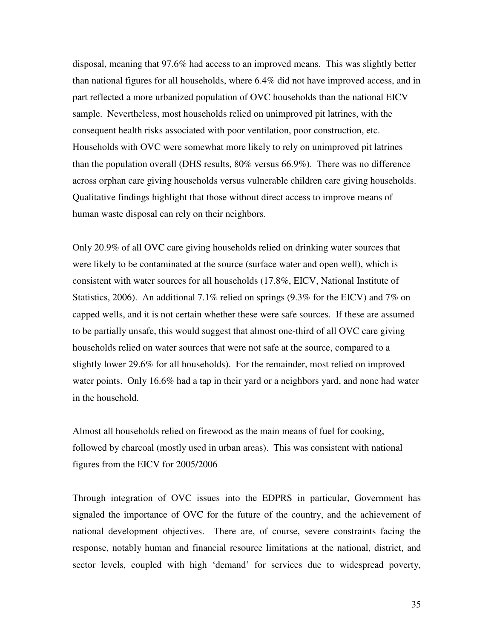disposal, meaning that 97.6% had access to an improved means. This was slightly better than national figures for all households, where 6.4% did not have improved access, and in part reflected a more urbanized population of OVC households than the national EICV sample. Nevertheless, most households relied on unimproved pit latrines, with the consequent health risks associated with poor ventilation, poor construction, etc. Households with OVC were somewhat more likely to rely on unimproved pit latrines than the population overall (DHS results, 80% versus 66.9%). There was no difference across orphan care giving households versus vulnerable children care giving households. Qualitative findings highlight that those without direct access to improve means of human waste disposal can rely on their neighbors.

Only 20.9% of all OVC care giving households relied on drinking water sources that were likely to be contaminated at the source (surface water and open well), which is consistent with water sources for all households (17.8%, EICV, National Institute of Statistics, 2006). An additional 7.1% relied on springs  $(9.3%$  for the EICV) and 7% on capped wells, and it is not certain whether these were safe sources. If these are assumed to be partially unsafe, this would suggest that almost one-third of all OVC care giving households relied on water sources that were not safe at the source, compared to a slightly lower 29.6% for all households). For the remainder, most relied on improved water points. Only 16.6% had a tap in their yard or a neighbors yard, and none had water in the household.

Almost all households relied on firewood as the main means of fuel for cooking, followed by charcoal (mostly used in urban areas). This was consistent with national figures from the EICV for 2005/2006

Through integration of OVC issues into the EDPRS in particular, Government has signaled the importance of OVC for the future of the country, and the achievement of national development objectives. There are, of course, severe constraints facing the response, notably human and financial resource limitations at the national, district, and sector levels, coupled with high 'demand' for services due to widespread poverty,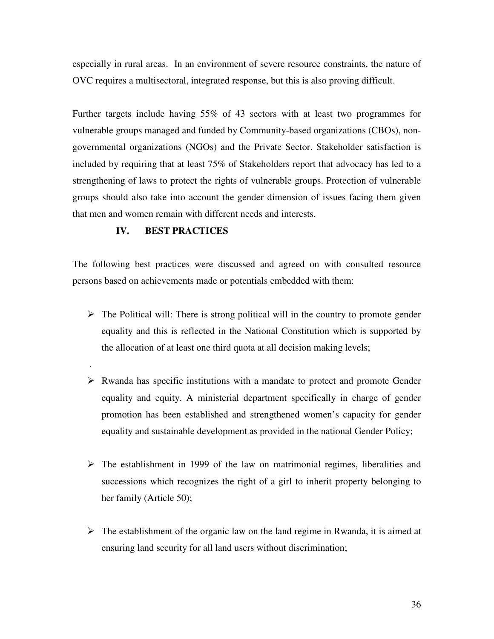especially in rural areas. In an environment of severe resource constraints, the nature of OVC requires a multisectoral, integrated response, but this is also proving difficult.

Further targets include having 55% of 43 sectors with at least two programmes for vulnerable groups managed and funded by Community-based organizations (CBOs), nongovernmental organizations (NGOs) and the Private Sector. Stakeholder satisfaction is included by requiring that at least 75% of Stakeholders report that advocacy has led to a strengthening of laws to protect the rights of vulnerable groups. Protection of vulnerable groups should also take into account the gender dimension of issues facing them given that men and women remain with different needs and interests.

# **IV. BEST PRACTICES**

.

The following best practices were discussed and agreed on with consulted resource persons based on achievements made or potentials embedded with them:

- $\triangleright$  The Political will: There is strong political will in the country to promote gender equality and this is reflected in the National Constitution which is supported by the allocation of at least one third quota at all decision making levels;
- $\triangleright$  Rwanda has specific institutions with a mandate to protect and promote Gender equality and equity. A ministerial department specifically in charge of gender promotion has been established and strengthened women's capacity for gender equality and sustainable development as provided in the national Gender Policy;
- $\triangleright$  The establishment in 1999 of the law on matrimonial regimes, liberalities and successions which recognizes the right of a girl to inherit property belonging to her family (Article 50);
- $\triangleright$  The establishment of the organic law on the land regime in Rwanda, it is aimed at ensuring land security for all land users without discrimination;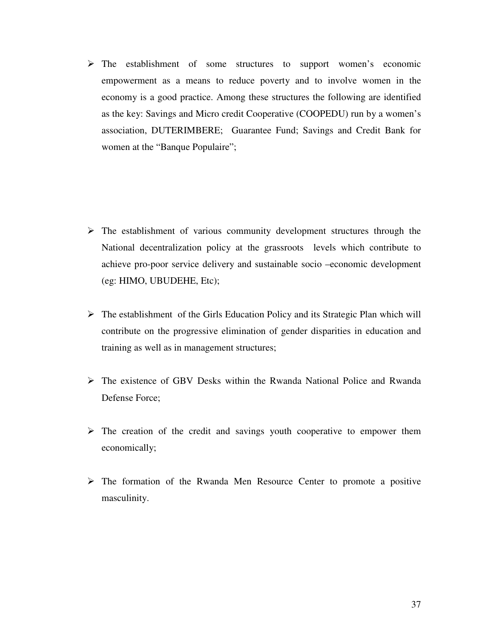The establishment of some structures to support women's economic empowerment as a means to reduce poverty and to involve women in the economy is a good practice. Among these structures the following are identified as the key: Savings and Micro credit Cooperative (COOPEDU) run by a women's association, DUTERIMBERE; Guarantee Fund; Savings and Credit Bank for women at the "Banque Populaire";

- $\triangleright$  The establishment of various community development structures through the National decentralization policy at the grassroots levels which contribute to achieve pro-poor service delivery and sustainable socio –economic development (eg: HIMO, UBUDEHE, Etc);
- $\triangleright$  The establishment of the Girls Education Policy and its Strategic Plan which will contribute on the progressive elimination of gender disparities in education and training as well as in management structures;
- $\triangleright$  The existence of GBV Desks within the Rwanda National Police and Rwanda Defense Force;
- $\triangleright$  The creation of the credit and savings youth cooperative to empower them economically;
- $\triangleright$  The formation of the Rwanda Men Resource Center to promote a positive masculinity.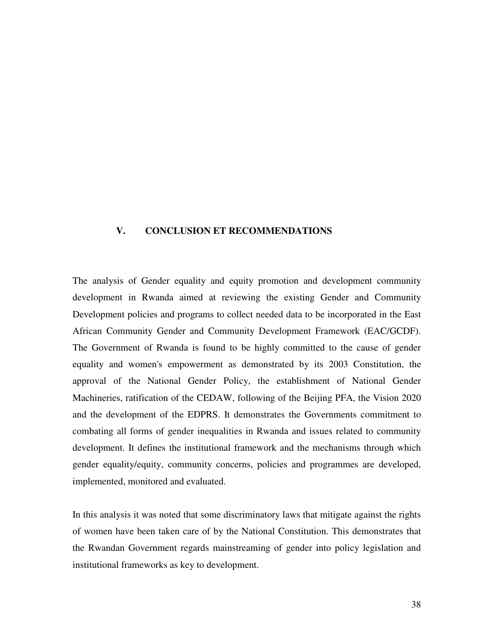# **V. CONCLUSION ET RECOMMENDATIONS**

The analysis of Gender equality and equity promotion and development community development in Rwanda aimed at reviewing the existing Gender and Community Development policies and programs to collect needed data to be incorporated in the East African Community Gender and Community Development Framework (EAC/GCDF). The Government of Rwanda is found to be highly committed to the cause of gender equality and women's empowerment as demonstrated by its 2003 Constitution, the approval of the National Gender Policy, the establishment of National Gender Machineries, ratification of the CEDAW, following of the Beijing PFA, the Vision 2020 and the development of the EDPRS. It demonstrates the Governments commitment to combating all forms of gender inequalities in Rwanda and issues related to community development. It defines the institutional framework and the mechanisms through which gender equality/equity, community concerns, policies and programmes are developed, implemented, monitored and evaluated.

In this analysis it was noted that some discriminatory laws that mitigate against the rights of women have been taken care of by the National Constitution. This demonstrates that the Rwandan Government regards mainstreaming of gender into policy legislation and institutional frameworks as key to development.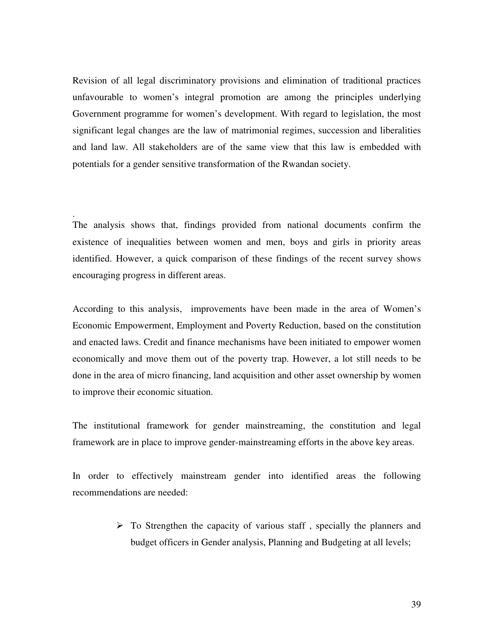Revision of all legal discriminatory provisions and elimination of traditional practices unfavourable to women's integral promotion are among the principles underlying Government programme for women's development. With regard to legislation, the most significant legal changes are the law of matrimonial regimes, succession and liberalities and land law. All stakeholders are of the same view that this law is embedded with potentials for a gender sensitive transformation of the Rwandan society.

The analysis shows that, findings provided from national documents confirm the existence of inequalities between women and men, boys and girls in priority areas identified. However, a quick comparison of these findings of the recent survey shows encouraging progress in different areas.

.

According to this analysis, improvements have been made in the area of Women's Economic Empowerment, Employment and Poverty Reduction, based on the constitution and enacted laws. Credit and finance mechanisms have been initiated to empower women economically and move them out of the poverty trap. However, a lot still needs to be done in the area of micro financing, land acquisition and other asset ownership by women to improve their economic situation.

The institutional framework for gender mainstreaming, the constitution and legal framework are in place to improve gender-mainstreaming efforts in the above key areas.

In order to effectively mainstream gender into identified areas the following recommendations are needed:

> $\triangleright$  To Strengthen the capacity of various staff, specially the planners and budget officers in Gender analysis, Planning and Budgeting at all levels;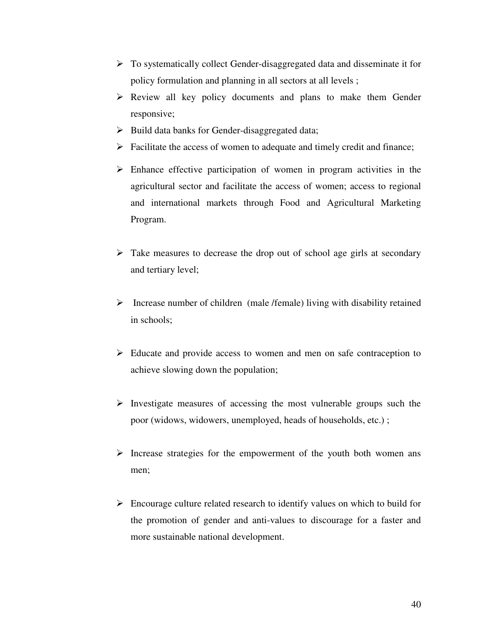- $\triangleright$  To systematically collect Gender-disaggregated data and disseminate it for policy formulation and planning in all sectors at all levels ;
- Review all key policy documents and plans to make them Gender responsive;
- $\triangleright$  Build data banks for Gender-disaggregated data;
- $\triangleright$  Facilitate the access of women to adequate and timely credit and finance;
- $\triangleright$  Enhance effective participation of women in program activities in the agricultural sector and facilitate the access of women; access to regional and international markets through Food and Agricultural Marketing Program.
- $\triangleright$  Take measures to decrease the drop out of school age girls at secondary and tertiary level;
- $\triangleright$  Increase number of children (male /female) living with disability retained in schools;
- $\triangleright$  Educate and provide access to women and men on safe contraception to achieve slowing down the population;
- $\triangleright$  Investigate measures of accessing the most vulnerable groups such the poor (widows, widowers, unemployed, heads of households, etc.) ;
- $\triangleright$  Increase strategies for the empowerment of the youth both women ans men;
- $\triangleright$  Encourage culture related research to identify values on which to build for the promotion of gender and anti-values to discourage for a faster and more sustainable national development.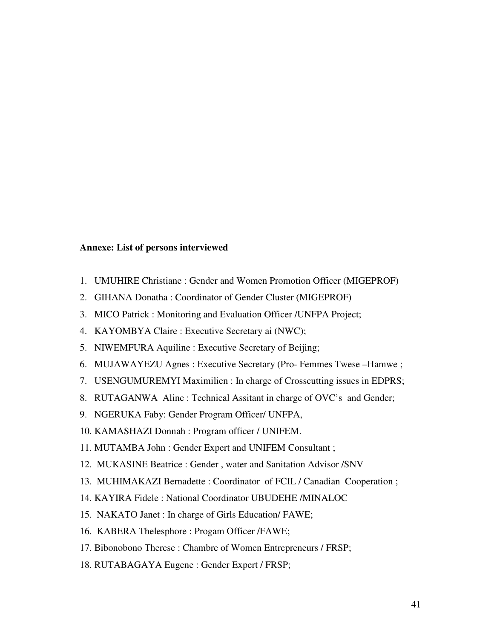#### **Annexe: List of persons interviewed**

- 1. UMUHIRE Christiane : Gender and Women Promotion Officer (MIGEPROF)
- 2. GIHANA Donatha : Coordinator of Gender Cluster (MIGEPROF)
- 3. MICO Patrick : Monitoring and Evaluation Officer /UNFPA Project;
- 4. KAYOMBYA Claire : Executive Secretary ai (NWC);
- 5. NIWEMFURA Aquiline : Executive Secretary of Beijing;
- 6. MUJAWAYEZU Agnes : Executive Secretary (Pro- Femmes Twese –Hamwe ;
- 7. USENGUMUREMYI Maximilien : In charge of Crosscutting issues in EDPRS;
- 8. RUTAGANWA Aline : Technical Assitant in charge of OVC's and Gender;
- 9. NGERUKA Faby: Gender Program Officer/ UNFPA,
- 10. KAMASHAZI Donnah : Program officer / UNIFEM.
- 11. MUTAMBA John : Gender Expert and UNIFEM Consultant ;
- 12. MUKASINE Beatrice : Gender , water and Sanitation Advisor /SNV
- 13. MUHIMAKAZI Bernadette : Coordinator of FCIL / Canadian Cooperation ;
- 14. KAYIRA Fidele : National Coordinator UBUDEHE /MINALOC
- 15. NAKATO Janet : In charge of Girls Education/ FAWE;
- 16. KABERA Thelesphore : Progam Officer /FAWE;
- 17. Bibonobono Therese : Chambre of Women Entrepreneurs / FRSP;
- 18. RUTABAGAYA Eugene : Gender Expert / FRSP;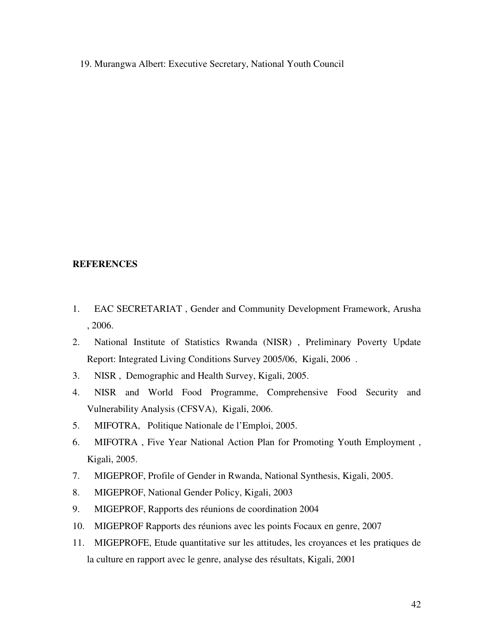19. Murangwa Albert: Executive Secretary, National Youth Council

# **REFERENCES**

- 1. EAC SECRETARIAT , Gender and Community Development Framework, Arusha , 2006.
- 2. National Institute of Statistics Rwanda (NISR) , Preliminary Poverty Update Report: Integrated Living Conditions Survey 2005/06, Kigali, 2006 .
- 3. NISR , Demographic and Health Survey, Kigali, 2005.
- 4. NISR and World Food Programme, Comprehensive Food Security and Vulnerability Analysis (CFSVA), Kigali, 2006.
- 5. MIFOTRA, Politique Nationale de l'Emploi, 2005.
- 6. MIFOTRA , Five Year National Action Plan for Promoting Youth Employment , Kigali, 2005.
- 7. MIGEPROF, Profile of Gender in Rwanda, National Synthesis, Kigali, 2005.
- 8. MIGEPROF, National Gender Policy, Kigali, 2003
- 9. MIGEPROF, Rapports des réunions de coordination 2004
- 10. MIGEPROF Rapports des réunions avec les points Focaux en genre, 2007
- 11. MIGEPROFE, Etude quantitative sur les attitudes, les croyances et les pratiques de la culture en rapport avec le genre, analyse des résultats, Kigali, 2001